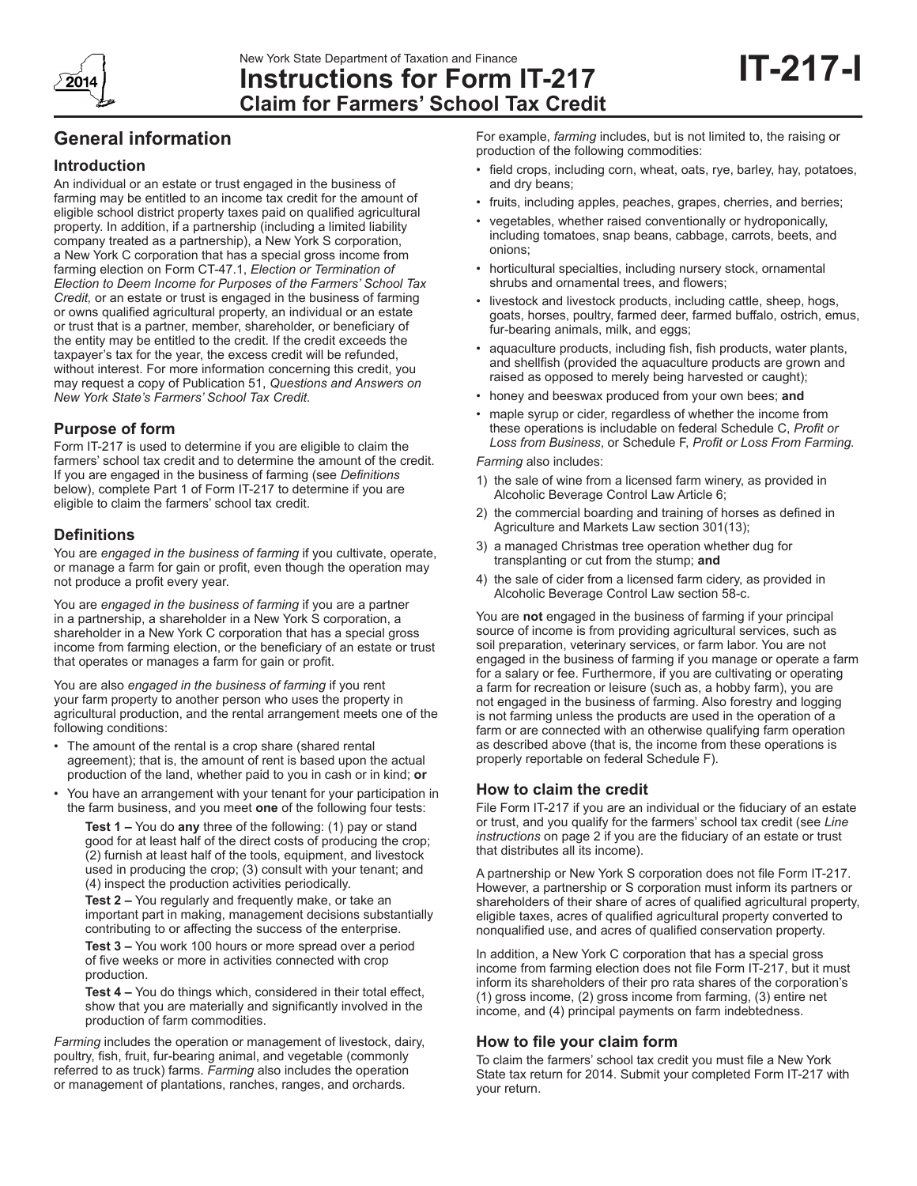

# **Instructions for Form IT-217 Claim for Farmers' School Tax Credit**

## **General information**

## **Introduction**

An individual or an estate or trust engaged in the business of farming may be entitled to an income tax credit for the amount of eligible school district property taxes paid on qualified agricultural property. In addition, if a partnership (including a limited liability company treated as a partnership), a New York S corporation, a New York C corporation that has a special gross income from farming election on Form CT-47.1, *Election or Termination of Election to Deem Income for Purposes of the Farmers' School Tax Credit,* or an estate or trust is engaged in the business of farming or owns qualified agricultural property, an individual or an estate or trust that is a partner, member, shareholder, or beneficiary of the entity may be entitled to the credit. If the credit exceeds the taxpayer's tax for the year, the excess credit will be refunded, without interest. For more information concerning this credit, you may request a copy of Publication 51, *Questions and Answers on New York State's Farmers' School Tax Credit.*

## **Purpose of form**

Form IT-217 is used to determine if you are eligible to claim the farmers' school tax credit and to determine the amount of the credit. If you are engaged in the business of farming (see *Definitions* below), complete Part 1 of Form IT-217 to determine if you are eligible to claim the farmers' school tax credit.

## **Definitions**

You are *engaged in the business of farming* if you cultivate, operate, or manage a farm for gain or profit, even though the operation may not produce a profit every year.

You are *engaged in the business of farming* if you are a partner in a partnership, a shareholder in a New York S corporation, a shareholder in a New York C corporation that has a special gross income from farming election, or the beneficiary of an estate or trust that operates or manages a farm for gain or profit.

You are also *engaged in the business of farming* if you rent your farm property to another person who uses the property in agricultural production, and the rental arrangement meets one of the following conditions:

- The amount of the rental is a crop share (shared rental agreement); that is, the amount of rent is based upon the actual production of the land, whether paid to you in cash or in kind; **or**
- You have an arrangement with your tenant for your participation in the farm business, and you meet **one** of the following four tests:

**Test 1 –** You do **any** three of the following: (1) pay or stand good for at least half of the direct costs of producing the crop; (2) furnish at least half of the tools, equipment, and livestock used in producing the crop; (3) consult with your tenant; and (4) inspect the production activities periodically.

**Test 2 –** You regularly and frequently make, or take an important part in making, management decisions substantially contributing to or affecting the success of the enterprise.

**Test 3 –** You work 100 hours or more spread over a period of five weeks or more in activities connected with crop production.

**Test 4 –** You do things which, considered in their total effect, show that you are materially and significantly involved in the production of farm commodities.

*Farming* includes the operation or management of livestock, dairy, poultry, fish, fruit, fur-bearing animal, and vegetable (commonly referred to as truck) farms. *Farming* also includes the operation or management of plantations, ranches, ranges, and orchards.

For example, *farming* includes, but is not limited to, the raising or production of the following commodities:

- field crops, including corn, wheat, oats, rye, barley, hay, potatoes, and dry beans;
- fruits, including apples, peaches, grapes, cherries, and berries;
- vegetables, whether raised conventionally or hydroponically, including tomatoes, snap beans, cabbage, carrots, beets, and onions;
- horticultural specialties, including nursery stock, ornamental shrubs and ornamental trees, and flowers;
- livestock and livestock products, including cattle, sheep, hogs, goats, horses, poultry, farmed deer, farmed buffalo, ostrich, emus, fur-bearing animals, milk, and eggs;
- aquaculture products, including fish, fish products, water plants, and shellfish (provided the aquaculture products are grown and raised as opposed to merely being harvested or caught);
- honey and beeswax produced from your own bees; **and**
- maple syrup or cider, regardless of whether the income from these operations is includable on federal Schedule C, *Profit or Loss from Business*, or Schedule F, *Profit or Loss From Farming.*

*Farming* also includes:

- 1) the sale of wine from a licensed farm winery, as provided in Alcoholic Beverage Control Law Article 6;
- 2) the commercial boarding and training of horses as defined in Agriculture and Markets Law section 301(13);
- 3) a managed Christmas tree operation whether dug for transplanting or cut from the stump; **and**
- 4) the sale of cider from a licensed farm cidery, as provided in Alcoholic Beverage Control Law section 58-c.

You are **not** engaged in the business of farming if your principal source of income is from providing agricultural services, such as soil preparation, veterinary services, or farm labor. You are not engaged in the business of farming if you manage or operate a farm for a salary or fee. Furthermore, if you are cultivating or operating a farm for recreation or leisure (such as, a hobby farm), you are not engaged in the business of farming. Also forestry and logging is not farming unless the products are used in the operation of a farm or are connected with an otherwise qualifying farm operation as described above (that is, the income from these operations is properly reportable on federal Schedule F).

## **How to claim the credit**

File Form IT-217 if you are an individual or the fiduciary of an estate or trust, and you qualify for the farmers' school tax credit (see *Line instructions* on page 2 if you are the fiduciary of an estate or trust that distributes all its income).

A partnership or New York S corporation does not file Form IT-217. However, a partnership or S corporation must inform its partners or shareholders of their share of acres of qualified agricultural property, eligible taxes, acres of qualified agricultural property converted to nonqualified use, and acres of qualified conservation property.

In addition, a New York C corporation that has a special gross income from farming election does not file Form IT-217, but it must inform its shareholders of their pro rata shares of the corporation's (1) gross income, (2) gross income from farming, (3) entire net income, and (4) principal payments on farm indebtedness.

## **How to file your claim form**

To claim the farmers' school tax credit you must file a New York State tax return for 2014. Submit your completed Form IT-217 with your return.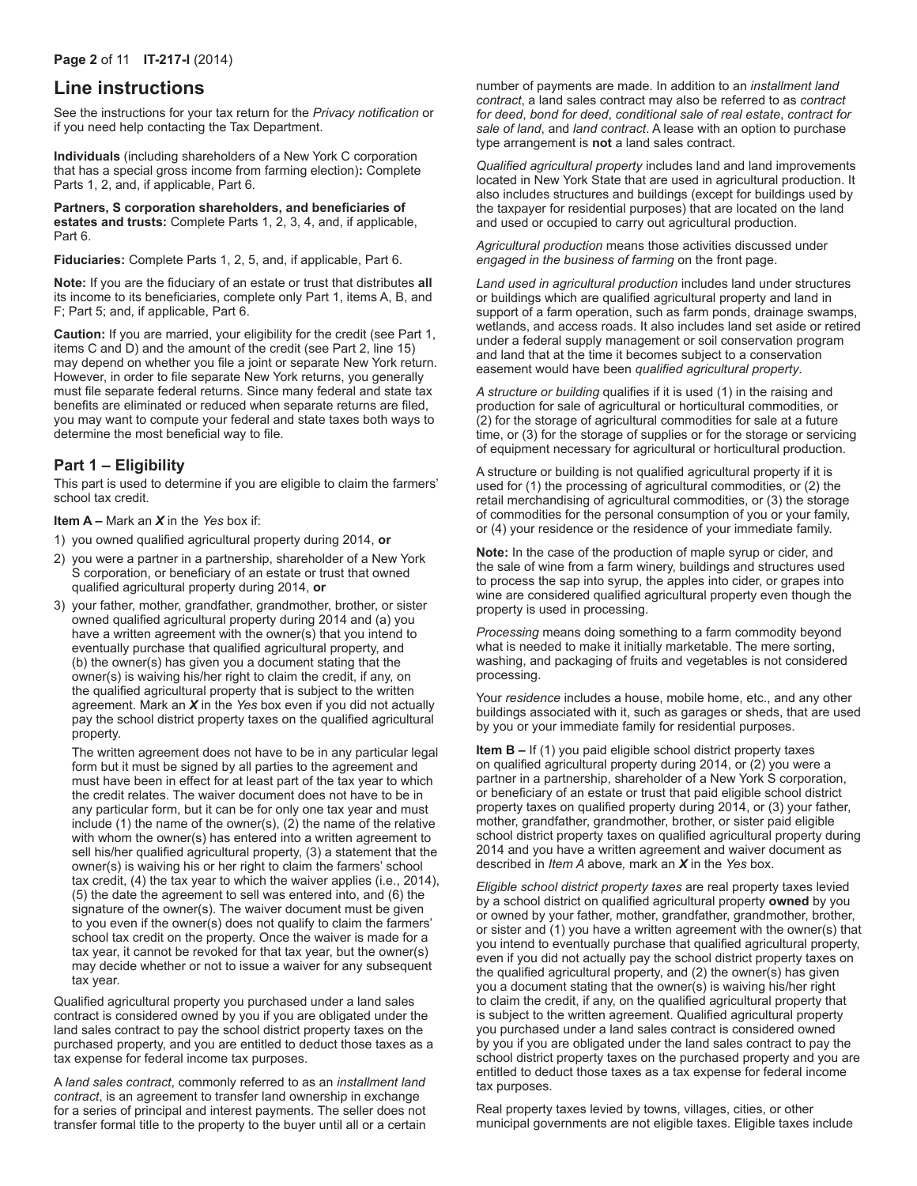## **Line instructions**

See the instructions for your tax return for the *Privacy notification* or if you need help contacting the Tax Department.

**Individuals** (including shareholders of a New York C corporation that has a special gross income from farming election)**:** Complete Parts 1, 2, and, if applicable, Part 6.

**Partners, S corporation shareholders, and beneficiaries of estates and trusts:** Complete Parts 1, 2, 3, 4, and, if applicable, Part 6.

**Fiduciaries:** Complete Parts 1, 2, 5, and, if applicable, Part 6.

**Note:** If you are the fiduciary of an estate or trust that distributes **all**  its income to its beneficiaries, complete only Part 1, items A, B, and F; Part 5; and, if applicable, Part 6.

**Caution:** If you are married, your eligibility for the credit (see Part 1, items C and D) and the amount of the credit (see Part 2, line 15) may depend on whether you file a joint or separate New York return. However, in order to file separate New York returns, you generally must file separate federal returns. Since many federal and state tax benefits are eliminated or reduced when separate returns are filed, you may want to compute your federal and state taxes both ways to determine the most beneficial way to file.

## **Part 1 – Eligibility**

This part is used to determine if you are eligible to claim the farmers' school tax credit.

#### **Item A –** Mark an *X* in the *Yes* box if:

- 1) you owned qualified agricultural property during 2014, **or**
- 2) you were a partner in a partnership, shareholder of a New York S corporation, or beneficiary of an estate or trust that owned qualified agricultural property during 2014, **or**
- 3) your father, mother, grandfather, grandmother, brother, or sister owned qualified agricultural property during 2014 and (a) you have a written agreement with the owner(s) that you intend to eventually purchase that qualified agricultural property, and (b) the owner(s) has given you a document stating that the owner(s) is waiving his/her right to claim the credit, if any, on the qualified agricultural property that is subject to the written agreement. Mark an *X* in the *Yes* box even if you did not actually pay the school district property taxes on the qualified agricultural property.

The written agreement does not have to be in any particular legal form but it must be signed by all parties to the agreement and must have been in effect for at least part of the tax year to which the credit relates. The waiver document does not have to be in any particular form, but it can be for only one tax year and must include (1) the name of the owner(s), (2) the name of the relative with whom the owner(s) has entered into a written agreement to sell his/her qualified agricultural property, (3) a statement that the owner(s) is waiving his or her right to claim the farmers' school tax credit, (4) the tax year to which the waiver applies (i.e., 2014), (5) the date the agreement to sell was entered into, and (6) the signature of the owner(s). The waiver document must be given to you even if the owner(s) does not qualify to claim the farmers' school tax credit on the property. Once the waiver is made for a tax year, it cannot be revoked for that tax year, but the owner(s) may decide whether or not to issue a waiver for any subsequent tax year.

Qualified agricultural property you purchased under a land sales contract is considered owned by you if you are obligated under the land sales contract to pay the school district property taxes on the purchased property, and you are entitled to deduct those taxes as a tax expense for federal income tax purposes.

A *land sales contract*, commonly referred to as an *installment land contract*, is an agreement to transfer land ownership in exchange for a series of principal and interest payments. The seller does not transfer formal title to the property to the buyer until all or a certain number of payments are made. In addition to an *installment land contract*, a land sales contract may also be referred to as *contract for deed*, *bond for deed*, *conditional sale of real estate*, *contract for sale of land*, and *land contract*. A lease with an option to purchase type arrangement is **not** a land sales contract.

*Qualified agricultural property* includes land and land improvements located in New York State that are used in agricultural production. It also includes structures and buildings (except for buildings used by the taxpayer for residential purposes) that are located on the land and used or occupied to carry out agricultural production.

*Agricultural production* means those activities discussed under *engaged in the business of farming* on the front page.

*Land used in agricultural production* includes land under structures or buildings which are qualified agricultural property and land in support of a farm operation, such as farm ponds, drainage swamps, wetlands, and access roads. It also includes land set aside or retired under a federal supply management or soil conservation program and land that at the time it becomes subject to a conservation easement would have been *qualified agricultural property*.

*A structure or building* qualifies if it is used (1) in the raising and production for sale of agricultural or horticultural commodities, or (2) for the storage of agricultural commodities for sale at a future time, or (3) for the storage of supplies or for the storage or servicing of equipment necessary for agricultural or horticultural production.

A structure or building is not qualified agricultural property if it is used for (1) the processing of agricultural commodities, or (2) the retail merchandising of agricultural commodities, or (3) the storage of commodities for the personal consumption of you or your family, or (4) your residence or the residence of your immediate family.

**Note:** In the case of the production of maple syrup or cider, and the sale of wine from a farm winery, buildings and structures used to process the sap into syrup, the apples into cider, or grapes into wine are considered qualified agricultural property even though the property is used in processing.

*Processing* means doing something to a farm commodity beyond what is needed to make it initially marketable. The mere sorting, washing, and packaging of fruits and vegetables is not considered processing.

Your *residence* includes a house, mobile home, etc., and any other buildings associated with it, such as garages or sheds, that are used by you or your immediate family for residential purposes.

**Item B –** If (1) you paid eligible school district property taxes on qualified agricultural property during 2014, or (2) you were a partner in a partnership, shareholder of a New York S corporation, or beneficiary of an estate or trust that paid eligible school district property taxes on qualified property during 2014, or (3) your father, mother, grandfather, grandmother, brother, or sister paid eligible school district property taxes on qualified agricultural property during 2014 and you have a written agreement and waiver document as described in *Item A* above*,* mark an *X* in the *Yes* box.

*Eligible school district property taxes* are real property taxes levied by a school district on qualified agricultural property **owned** by you or owned by your father, mother, grandfather, grandmother, brother, or sister and (1) you have a written agreement with the owner(s) that you intend to eventually purchase that qualified agricultural property, even if you did not actually pay the school district property taxes on the qualified agricultural property, and (2) the owner(s) has given you a document stating that the owner(s) is waiving his/her right to claim the credit, if any, on the qualified agricultural property that is subject to the written agreement. Qualified agricultural property you purchased under a land sales contract is considered owned by you if you are obligated under the land sales contract to pay the school district property taxes on the purchased property and you are entitled to deduct those taxes as a tax expense for federal income tax purposes.

Real property taxes levied by towns, villages, cities, or other municipal governments are not eligible taxes. Eligible taxes include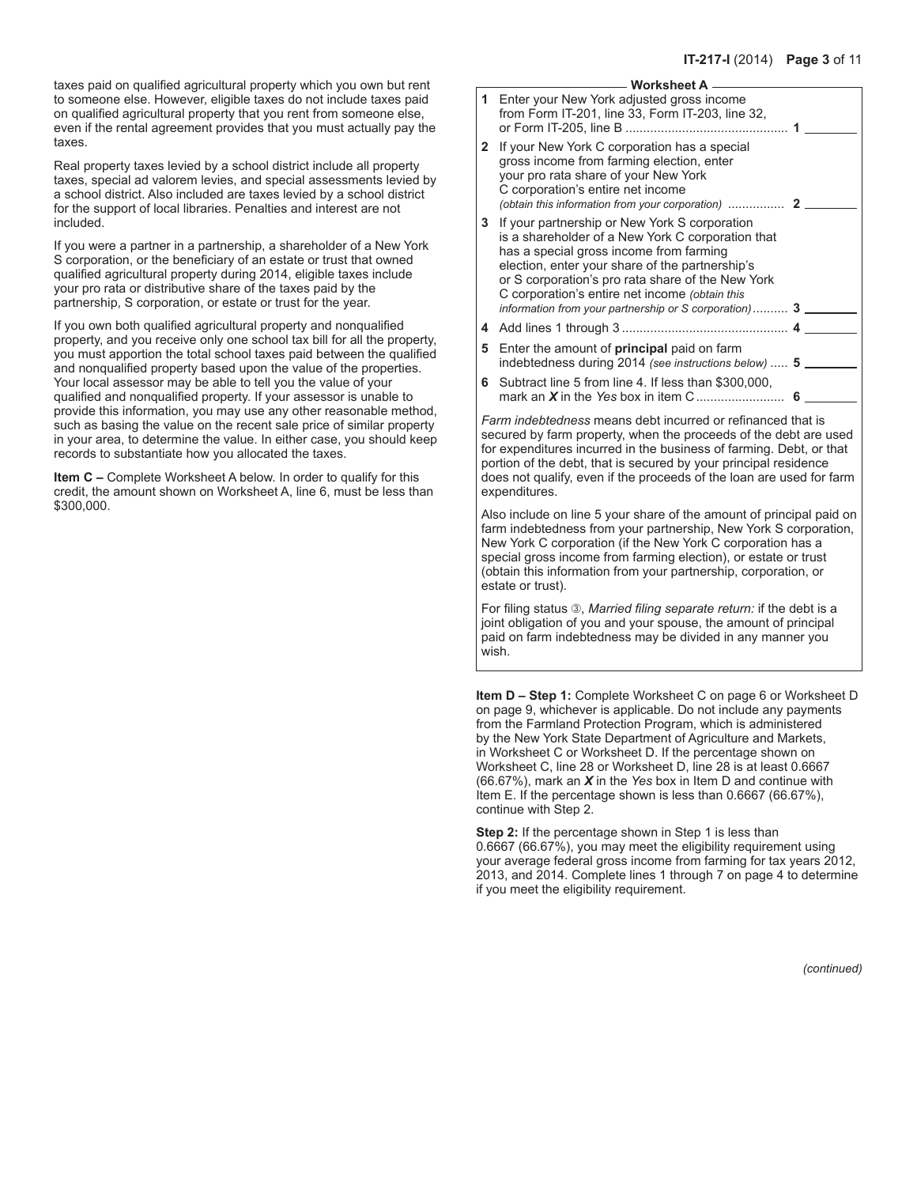taxes paid on qualified agricultural property which you own but rent to someone else. However, eligible taxes do not include taxes paid on qualified agricultural property that you rent from someone else, even if the rental agreement provides that you must actually pay the taxes.

Real property taxes levied by a school district include all property taxes, special ad valorem levies, and special assessments levied by a school district. Also included are taxes levied by a school district for the support of local libraries. Penalties and interest are not included.

If you were a partner in a partnership, a shareholder of a New York S corporation, or the beneficiary of an estate or trust that owned qualified agricultural property during 2014, eligible taxes include your pro rata or distributive share of the taxes paid by the partnership, S corporation, or estate or trust for the year.

If you own both qualified agricultural property and nonqualified property, and you receive only one school tax bill for all the property, you must apportion the total school taxes paid between the qualified and nonqualified property based upon the value of the properties. Your local assessor may be able to tell you the value of your qualified and nonqualified property. If your assessor is unable to provide this information, you may use any other reasonable method, such as basing the value on the recent sale price of similar property in your area, to determine the value. In either case, you should keep records to substantiate how you allocated the taxes.

**Item C –** Complete Worksheet A below. In order to qualify for this credit, the amount shown on Worksheet A, line 6, must be less than \$300,000.

#### **Worksheet A**

| 1            | Enter your New York adjusted gross income<br>from Form IT-201, line 33, Form IT-203, line 32,                                                                                                                                                                                                                                                                         |  |
|--------------|-----------------------------------------------------------------------------------------------------------------------------------------------------------------------------------------------------------------------------------------------------------------------------------------------------------------------------------------------------------------------|--|
| $\mathbf{2}$ | If your New York C corporation has a special<br>gross income from farming election, enter<br>your pro rata share of your New York<br>C corporation's entire net income                                                                                                                                                                                                |  |
| 3.           | If your partnership or New York S corporation<br>is a shareholder of a New York C corporation that<br>has a special gross income from farming<br>election, enter your share of the partnership's<br>or S corporation's pro rata share of the New York<br>C corporation's entire net income (obtain this<br>information from your partnership or S corporation) $3 \_$ |  |
|              |                                                                                                                                                                                                                                                                                                                                                                       |  |
| 5.           | Enter the amount of <b>principal</b> paid on farm<br>indebtedness during 2014 (see instructions below)  5                                                                                                                                                                                                                                                             |  |
| 6            | Subtract line 5 from line 4. If less than \$300,000,                                                                                                                                                                                                                                                                                                                  |  |
|              | <i>Farm indebtedness</i> means debt incurred or refinanced that is                                                                                                                                                                                                                                                                                                    |  |

secured by farm property, when the proceeds of the debt are used for expenditures incurred in the business of farming. Debt, or that portion of the debt, that is secured by your principal residence does not qualify, even if the proceeds of the loan are used for farm expenditures.

Also include on line 5 your share of the amount of principal paid on farm indebtedness from your partnership, New York S corporation, New York C corporation (if the New York C corporation has a special gross income from farming election), or estate or trust (obtain this information from your partnership, corporation, or estate or trust).

For filing status <sup>3</sup>, *Married filing separate return:* if the debt is a joint obligation of you and your spouse, the amount of principal paid on farm indebtedness may be divided in any manner you wish.

**Item D – Step 1:** Complete Worksheet C on page 6 or Worksheet D on page 9, whichever is applicable. Do not include any payments from the Farmland Protection Program, which is administered by the New York State Department of Agriculture and Markets, in Worksheet C or Worksheet D. If the percentage shown on Worksheet C, line 28 or Worksheet D, line 28 is at least 0.6667 (66.67%), mark an *X* in the *Yes* box in Item D and continue with Item E. If the percentage shown is less than 0.6667 (66.67%), continue with Step 2.

**Step 2:** If the percentage shown in Step 1 is less than 0.6667 (66.67%), you may meet the eligibility requirement using your average federal gross income from farming for tax years 2012, 2013, and 2014. Complete lines 1 through 7 on page 4 to determine if you meet the eligibility requirement.

*(continued)*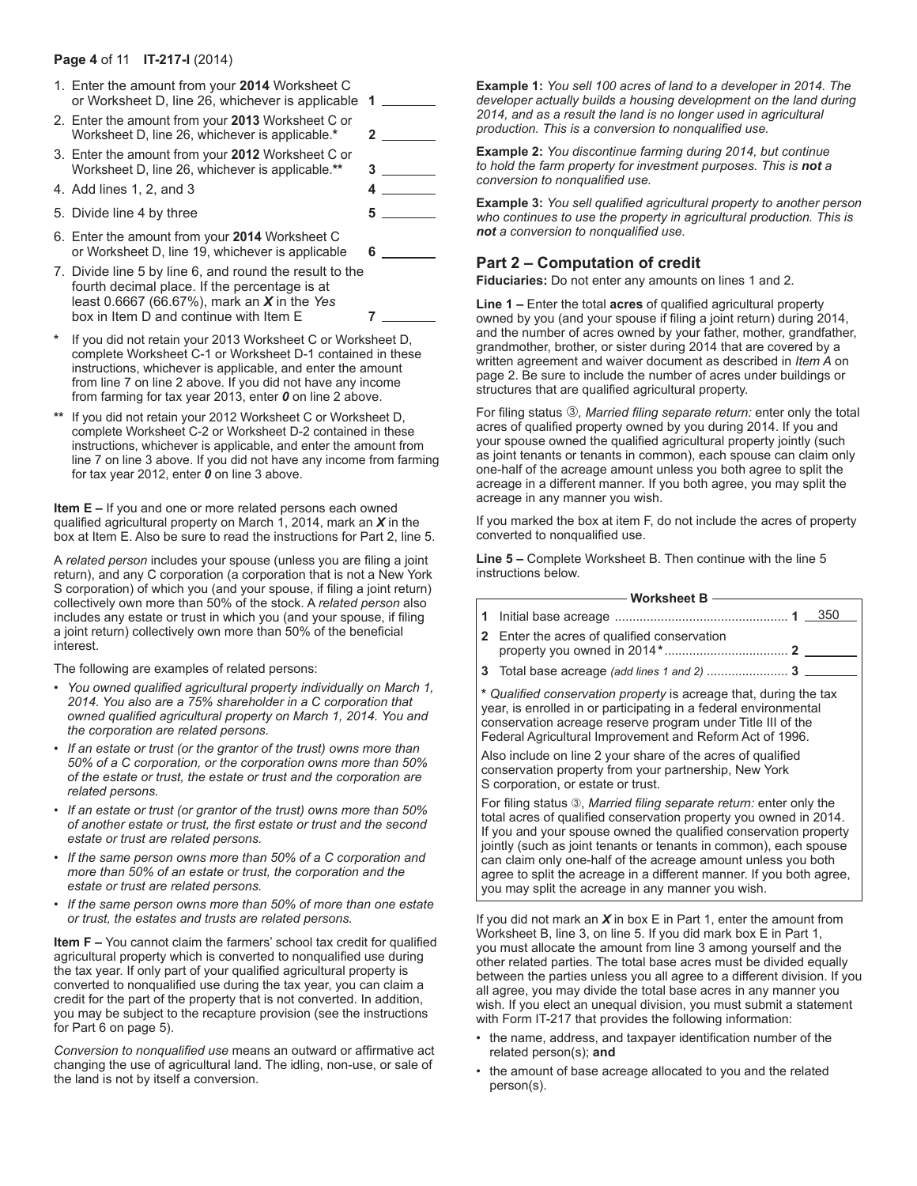#### **Page 4** of 11 **IT-217-I** (2014)

- 1. Enter the amount from your **2014** Worksheet C or Worksheet D, line 26, whichever is applicable **1**
- 2. Enter the amount from your **2013** Worksheet C or Worksheet D, line 26, whichever is applicable.**\* 2** 3. Enter the amount from your **2012** Worksheet C or Worksheet D, line 26, whichever is applicable.**\*\* 3**
- 4. Add lines 1, 2, and 3 **4**
- 5. Divide line 4 by three **5**
- 6. Enter the amount from your **2014** Worksheet C or Worksheet D, line 19, whichever is applicable **6**
- 7. Divide line 5 by line 6, and round the result to the fourth decimal place. If the percentage is at least 0.6667 (66.67%), mark an *X* in the *Yes* box in Item D and continue with Item E **7**
- **\*** If you did not retain your 2013 Worksheet C or Worksheet D, complete Worksheet C-1 or Worksheet D-1 contained in these instructions, whichever is applicable, and enter the amount from line 7 on line 2 above. If you did not have any income from farming for tax year 2013, enter *0* on line 2 above.
- **\*\*** If you did not retain your 2012 Worksheet C or Worksheet D, complete Worksheet C-2 or Worksheet D-2 contained in these instructions, whichever is applicable, and enter the amount from line 7 on line 3 above. If you did not have any income from farming for tax year 2012, enter *0* on line 3 above.

**Item E –** If you and one or more related persons each owned qualified agricultural property on March 1, 2014, mark an *X* in the box at Item E. Also be sure to read the instructions for Part 2, line 5.

A *related person* includes your spouse (unless you are filing a joint return), and any C corporation (a corporation that is not a New York S corporation) of which you (and your spouse, if filing a joint return) collectively own more than 50% of the stock. A *related person* also includes any estate or trust in which you (and your spouse, if filing a joint return) collectively own more than 50% of the beneficial interest.

The following are examples of related persons:

- *You owned qualified agricultural property individually on March 1, 2014. You also are a 75% shareholder in a C corporation that owned qualified agricultural property on March 1, 2014. You and the corporation are related persons.*
- *If an estate or trust (or the grantor of the trust) owns more than 50% of a C corporation, or the corporation owns more than 50% of the estate or trust, the estate or trust and the corporation are related persons.*
- *If an estate or trust (or grantor of the trust) owns more than 50% of another estate or trust, the first estate or trust and the second estate or trust are related persons.*
- *If the same person owns more than 50% of a C corporation and more than 50% of an estate or trust, the corporation and the estate or trust are related persons.*
- *If the same person owns more than 50% of more than one estate or trust, the estates and trusts are related persons.*

**Item F –** You cannot claim the farmers' school tax credit for qualified agricultural property which is converted to nonqualified use during the tax year. If only part of your qualified agricultural property is converted to nonqualified use during the tax year, you can claim a credit for the part of the property that is not converted. In addition, you may be subject to the recapture provision (see the instructions for Part 6 on page 5).

*Conversion to nonqualified use* means an outward or affirmative act changing the use of agricultural land. The idling, non-use, or sale of the land is not by itself a conversion.

**Example 1:** *You sell 100 acres of land to a developer in 2014. The developer actually builds a housing development on the land during 2014, and as a result the land is no longer used in agricultural production. This is a conversion to nonqualified use.*

**Example 2:** *You discontinue farming during 2014, but continue to hold the farm property for investment purposes. This is not a conversion to nonqualified use.*

**Example 3:** *You sell qualified agricultural property to another person who continues to use the property in agricultural production. This is not a conversion to nonqualified use.*

## **Part 2 – Computation of credit**

**Fiduciaries:** Do not enter any amounts on lines 1 and 2.

**Line 1 –** Enter the total **acres** of qualified agricultural property owned by you (and your spouse if filing a joint return) during 2014, and the number of acres owned by your father, mother, grandfather, grandmother, brother, or sister during 2014 that are covered by a written agreement and waiver document as described in *Item A* on page 2. Be sure to include the number of acres under buildings or structures that are qualified agricultural property.

For filing status 3, Married filing separate return: enter only the total acres of qualified property owned by you during 2014. If you and your spouse owned the qualified agricultural property jointly (such as joint tenants or tenants in common), each spouse can claim only one-half of the acreage amount unless you both agree to split the acreage in a different manner. If you both agree, you may split the acreage in any manner you wish.

If you marked the box at item F, do not include the acres of property converted to nonqualified use.

**Line 5 –** Complete Worksheet B. Then continue with the line 5 instructions below.

|                                                                                                                                                                                                                                                                  | Worksheet B -                                                                                                                            |  |  |
|------------------------------------------------------------------------------------------------------------------------------------------------------------------------------------------------------------------------------------------------------------------|------------------------------------------------------------------------------------------------------------------------------------------|--|--|
|                                                                                                                                                                                                                                                                  | 350                                                                                                                                      |  |  |
|                                                                                                                                                                                                                                                                  | <b>2</b> Enter the acres of qualified conservation                                                                                       |  |  |
|                                                                                                                                                                                                                                                                  | 3 Total base acreage (add lines 1 and 2)  3                                                                                              |  |  |
| * Qualified conservation property is acreage that, during the tax<br>year, is enrolled in or participating in a federal environmental<br>conservation acreage reserve program under Title III of the<br>Federal Agricultural Improvement and Reform Act of 1996. |                                                                                                                                          |  |  |
| Also include on line 2 your share of the acres of qualified<br>conservation property from your partnership, New York<br>S corporation, or estate or trust.                                                                                                       |                                                                                                                                          |  |  |
|                                                                                                                                                                                                                                                                  | For filing status 3, Married filing separate return: enter only the<br>total acres of qualified conservation property you owned in 2014. |  |  |

If you and your spouse owned the qualified conservation property jointly (such as joint tenants or tenants in common), each spouse can claim only one-half of the acreage amount unless you both agree to split the acreage in a different manner. If you both agree, you may split the acreage in any manner you wish.

If you did not mark an *X* in box E in Part 1, enter the amount from Worksheet B, line 3, on line 5. If you did mark box E in Part 1, you must allocate the amount from line 3 among yourself and the other related parties. The total base acres must be divided equally between the parties unless you all agree to a different division. If you all agree, you may divide the total base acres in any manner you wish. If you elect an unequal division, you must submit a statement with Form IT-217 that provides the following information:

- the name, address, and taxpayer identification number of the related person(s); **and**
- the amount of base acreage allocated to you and the related person(s).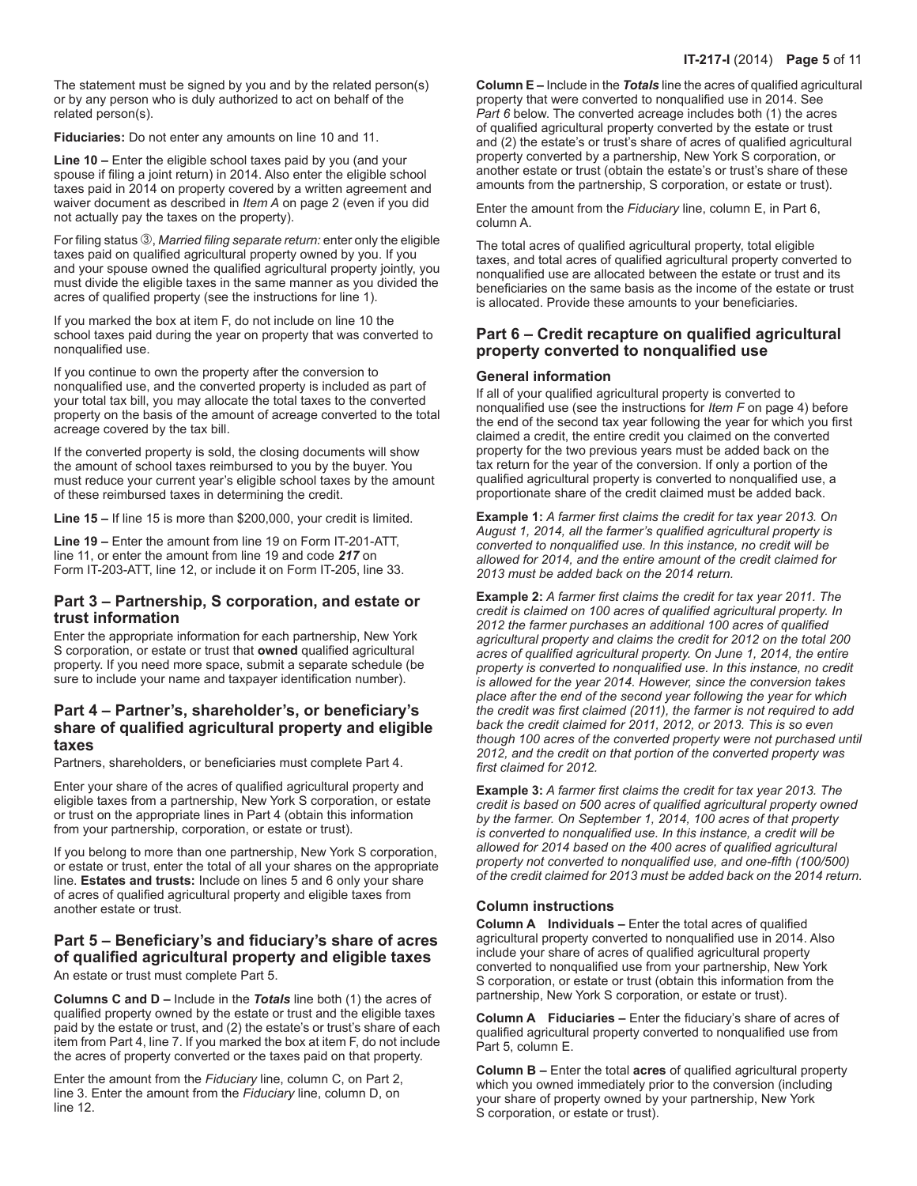The statement must be signed by you and by the related person(s) or by any person who is duly authorized to act on behalf of the related person(s).

**Fiduciaries:** Do not enter any amounts on line 10 and 11.

**Line 10 –** Enter the eligible school taxes paid by you (and your spouse if filing a joint return) in 2014. Also enter the eligible school taxes paid in 2014 on property covered by a written agreement and waiver document as described in *Item A* on page 2 (even if you did not actually pay the taxes on the property).

For filing status 3, *Married filing separate return:* enter only the eligible taxes paid on qualified agricultural property owned by you. If you and your spouse owned the qualified agricultural property jointly, you must divide the eligible taxes in the same manner as you divided the acres of qualified property (see the instructions for line 1).

If you marked the box at item F, do not include on line 10 the school taxes paid during the year on property that was converted to nonqualified use.

If you continue to own the property after the conversion to nonqualified use, and the converted property is included as part of your total tax bill, you may allocate the total taxes to the converted property on the basis of the amount of acreage converted to the total acreage covered by the tax bill.

If the converted property is sold, the closing documents will show the amount of school taxes reimbursed to you by the buyer. You must reduce your current year's eligible school taxes by the amount of these reimbursed taxes in determining the credit.

**Line 15 –** If line 15 is more than \$200,000, your credit is limited.

**Line 19 –** Enter the amount from line 19 on Form IT-201-ATT, line 11, or enter the amount from line 19 and code *217* on Form IT-203-ATT, line 12, or include it on Form IT-205, line 33.

#### **Part 3 – Partnership, S corporation, and estate or trust information**

Enter the appropriate information for each partnership, New York S corporation, or estate or trust that **owned** qualified agricultural property. If you need more space, submit a separate schedule (be sure to include your name and taxpayer identification number).

## **Part 4 – Partner's, shareholder's, or beneficiary's share of qualified agricultural property and eligible taxes**

Partners, shareholders, or beneficiaries must complete Part 4.

Enter your share of the acres of qualified agricultural property and eligible taxes from a partnership, New York S corporation, or estate or trust on the appropriate lines in Part 4 (obtain this information from your partnership, corporation, or estate or trust).

If you belong to more than one partnership, New York S corporation, or estate or trust, enter the total of all your shares on the appropriate line. **Estates and trusts:** Include on lines 5 and 6 only your share of acres of qualified agricultural property and eligible taxes from another estate or trust.

## **Part 5 – Beneficiary's and fiduciary's share of acres of qualified agricultural property and eligible taxes**

An estate or trust must complete Part 5.

**Columns C and D –** Include in the *Totals* line both (1) the acres of qualified property owned by the estate or trust and the eligible taxes paid by the estate or trust, and (2) the estate's or trust's share of each item from Part 4, line 7. If you marked the box at item F, do not include the acres of property converted or the taxes paid on that property.

Enter the amount from the *Fiduciary* line, column C, on Part 2, line 3. Enter the amount from the *Fiduciary* line, column D, on line 12.

**Column E –** Include in the *Totals* line the acres of qualified agricultural property that were converted to nonqualified use in 2014. See *Part 6* below. The converted acreage includes both (1) the acres of qualified agricultural property converted by the estate or trust and (2) the estate's or trust's share of acres of qualified agricultural property converted by a partnership, New York S corporation, or another estate or trust (obtain the estate's or trust's share of these amounts from the partnership, S corporation, or estate or trust).

Enter the amount from the *Fiduciary* line, column E, in Part 6, column A.

The total acres of qualified agricultural property, total eligible taxes, and total acres of qualified agricultural property converted to nonqualified use are allocated between the estate or trust and its beneficiaries on the same basis as the income of the estate or trust is allocated. Provide these amounts to your beneficiaries.

## **Part 6 – Credit recapture on qualified agricultural property converted to nonqualified use**

#### **General information**

If all of your qualified agricultural property is converted to nonqualified use (see the instructions for *Item F* on page 4) before the end of the second tax year following the year for which you first claimed a credit, the entire credit you claimed on the converted property for the two previous years must be added back on the tax return for the year of the conversion. If only a portion of the qualified agricultural property is converted to nonqualified use, a proportionate share of the credit claimed must be added back.

**Example 1:** *A farmer first claims the credit for tax year 2013. On August 1, 2014, all the farmer's qualified agricultural property is converted to nonqualified use. In this instance, no credit will be allowed for 2014, and the entire amount of the credit claimed for 2013 must be added back on the 2014 return.*

**Example 2:** *A farmer first claims the credit for tax year 2011. The credit is claimed on 100 acres of qualified agricultural property. In 2012 the farmer purchases an additional 100 acres of qualified agricultural property and claims the credit for 2012 on the total 200 acres of qualified agricultural property. On June 1, 2014, the entire property is converted to nonqualified use. In this instance, no credit is allowed for the year 2014. However, since the conversion takes place after the end of the second year following the year for which the credit was first claimed (2011), the farmer is not required to add back the credit claimed for 2011, 2012, or 2013. This is so even though 100 acres of the converted property were not purchased until 2012, and the credit on that portion of the converted property was first claimed for 2012.*

**Example 3:** *A farmer first claims the credit for tax year 2013. The credit is based on 500 acres of qualified agricultural property owned by the farmer. On September 1, 2014, 100 acres of that property is converted to nonqualified use. In this instance, a credit will be allowed for 2014 based on the 400 acres of qualified agricultural property not converted to nonqualified use, and one‑fifth (100/500) of the credit claimed for 2013 must be added back on the 2014 return.*

#### **Column instructions**

**Column A Individuals –** Enter the total acres of qualified agricultural property converted to nonqualified use in 2014. Also include your share of acres of qualified agricultural property converted to nonqualified use from your partnership, New York S corporation, or estate or trust (obtain this information from the partnership, New York S corporation, or estate or trust).

**Column A Fiduciaries –** Enter the fiduciary's share of acres of qualified agricultural property converted to nonqualified use from Part 5, column E.

**Column B –** Enter the total **acres** of qualified agricultural property which you owned immediately prior to the conversion (including your share of property owned by your partnership, New York S corporation, or estate or trust).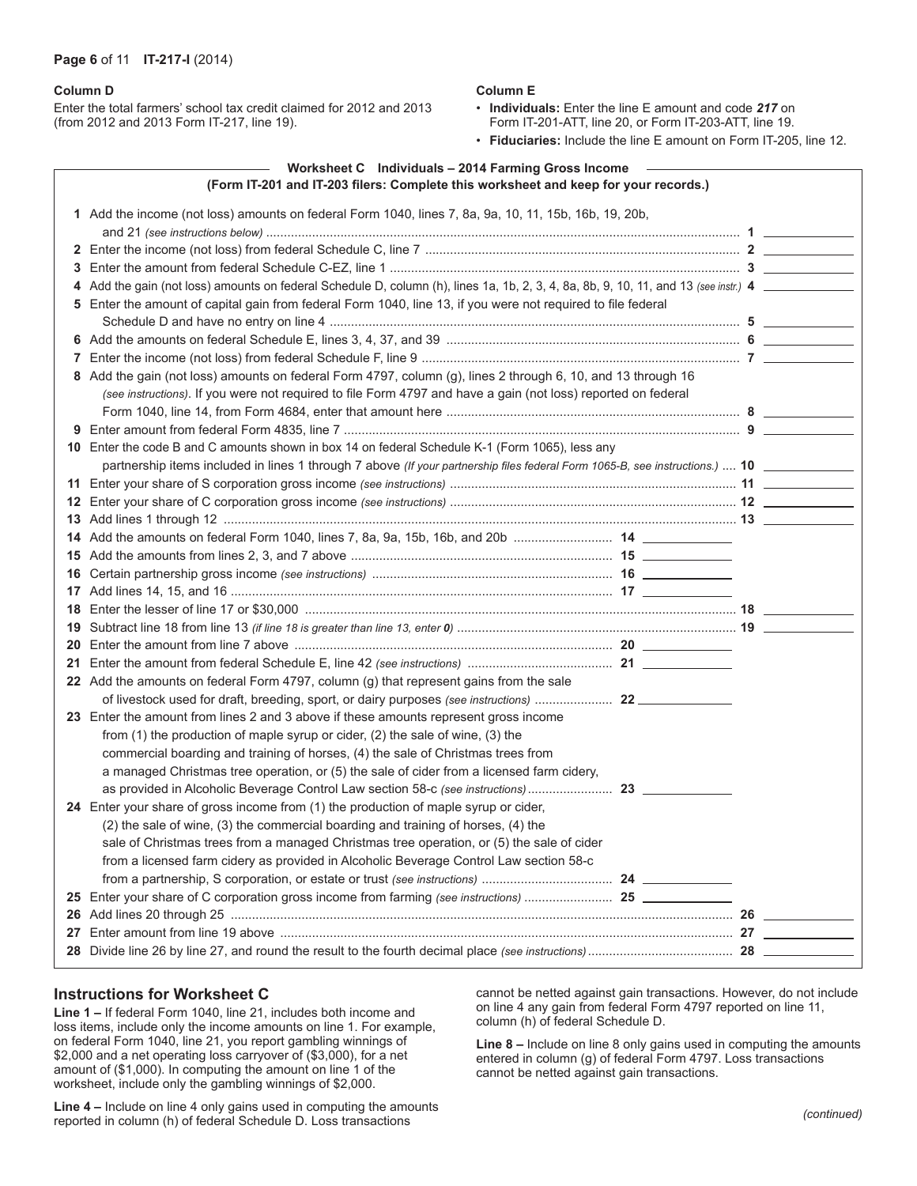#### **Page 6** of 11 **IT-217-I** (2014)

#### **Column D**

Enter the total farmers' school tax credit claimed for 2012 and 2013 (from 2012 and 2013 Form IT-217, line 19).

#### **Column E**

• **Individuals:** Enter the line E amount and code *217* on Form IT-201-ATT, line 20, or Form IT-203-ATT, line 19.

• **Fiduciaries:** Include the line E amount on Form IT-205, line 12.

| (Form IT-201 and IT-203 filers: Complete this worksheet and keep for your records.) | Worksheet C Individuals - 2014 Farming Gross Income |
|-------------------------------------------------------------------------------------|-----------------------------------------------------|
|                                                                                     |                                                     |

| 1 Add the income (not loss) amounts on federal Form 1040, lines 7, 8a, 9a, 10, 11, 15b, 16b, 19, 20b,                                |  |  |
|--------------------------------------------------------------------------------------------------------------------------------------|--|--|
|                                                                                                                                      |  |  |
|                                                                                                                                      |  |  |
|                                                                                                                                      |  |  |
| 4 Add the gain (not loss) amounts on federal Schedule D, column (h), lines 1a, 1b, 2, 3, 4, 8a, 8b, 9, 10, 11, and 13 (see instr.) 4 |  |  |
| 5 Enter the amount of capital gain from federal Form 1040, line 13, if you were not required to file federal                         |  |  |
|                                                                                                                                      |  |  |
|                                                                                                                                      |  |  |
|                                                                                                                                      |  |  |
| 8 Add the gain (not loss) amounts on federal Form 4797, column (g), lines 2 through 6, 10, and 13 through 16                         |  |  |
| (see instructions). If you were not required to file Form 4797 and have a gain (not loss) reported on federal                        |  |  |
|                                                                                                                                      |  |  |
|                                                                                                                                      |  |  |
| 10 Enter the code B and C amounts shown in box 14 on federal Schedule K-1 (Form 1065), less any                                      |  |  |
|                                                                                                                                      |  |  |
|                                                                                                                                      |  |  |
|                                                                                                                                      |  |  |
|                                                                                                                                      |  |  |
|                                                                                                                                      |  |  |
|                                                                                                                                      |  |  |
|                                                                                                                                      |  |  |
|                                                                                                                                      |  |  |
|                                                                                                                                      |  |  |
|                                                                                                                                      |  |  |
|                                                                                                                                      |  |  |
|                                                                                                                                      |  |  |
| 22 Add the amounts on federal Form 4797, column (g) that represent gains from the sale                                               |  |  |
|                                                                                                                                      |  |  |
| 23 Enter the amount from lines 2 and 3 above if these amounts represent gross income                                                 |  |  |
| from (1) the production of maple syrup or cider, (2) the sale of wine, (3) the                                                       |  |  |
| commercial boarding and training of horses, (4) the sale of Christmas trees from                                                     |  |  |
| a managed Christmas tree operation, or (5) the sale of cider from a licensed farm cidery,                                            |  |  |
|                                                                                                                                      |  |  |
| 24 Enter your share of gross income from (1) the production of maple syrup or cider,                                                 |  |  |
| (2) the sale of wine, (3) the commercial boarding and training of horses, (4) the                                                    |  |  |
| sale of Christmas trees from a managed Christmas tree operation, or (5) the sale of cider                                            |  |  |
| from a licensed farm cidery as provided in Alcoholic Beverage Control Law section 58-c                                               |  |  |
|                                                                                                                                      |  |  |
|                                                                                                                                      |  |  |
|                                                                                                                                      |  |  |
|                                                                                                                                      |  |  |
|                                                                                                                                      |  |  |

#### **Instructions for Worksheet C**

**Line 1 –** If federal Form 1040, line 21, includes both income and loss items, include only the income amounts on line 1. For example, on federal Form 1040, line 21, you report gambling winnings of \$2,000 and a net operating loss carryover of (\$3,000), for a net amount of (\$1,000). In computing the amount on line 1 of the worksheet, include only the gambling winnings of \$2,000.

**Line 4 –** Include on line 4 only gains used in computing the amounts reported in column (h) of federal Schedule D. Loss transactions

cannot be netted against gain transactions. However, do not include on line 4 any gain from federal Form 4797 reported on line 11, column (h) of federal Schedule D.

**Line 8 –** Include on line 8 only gains used in computing the amounts entered in column (g) of federal Form 4797. Loss transactions cannot be netted against gain transactions.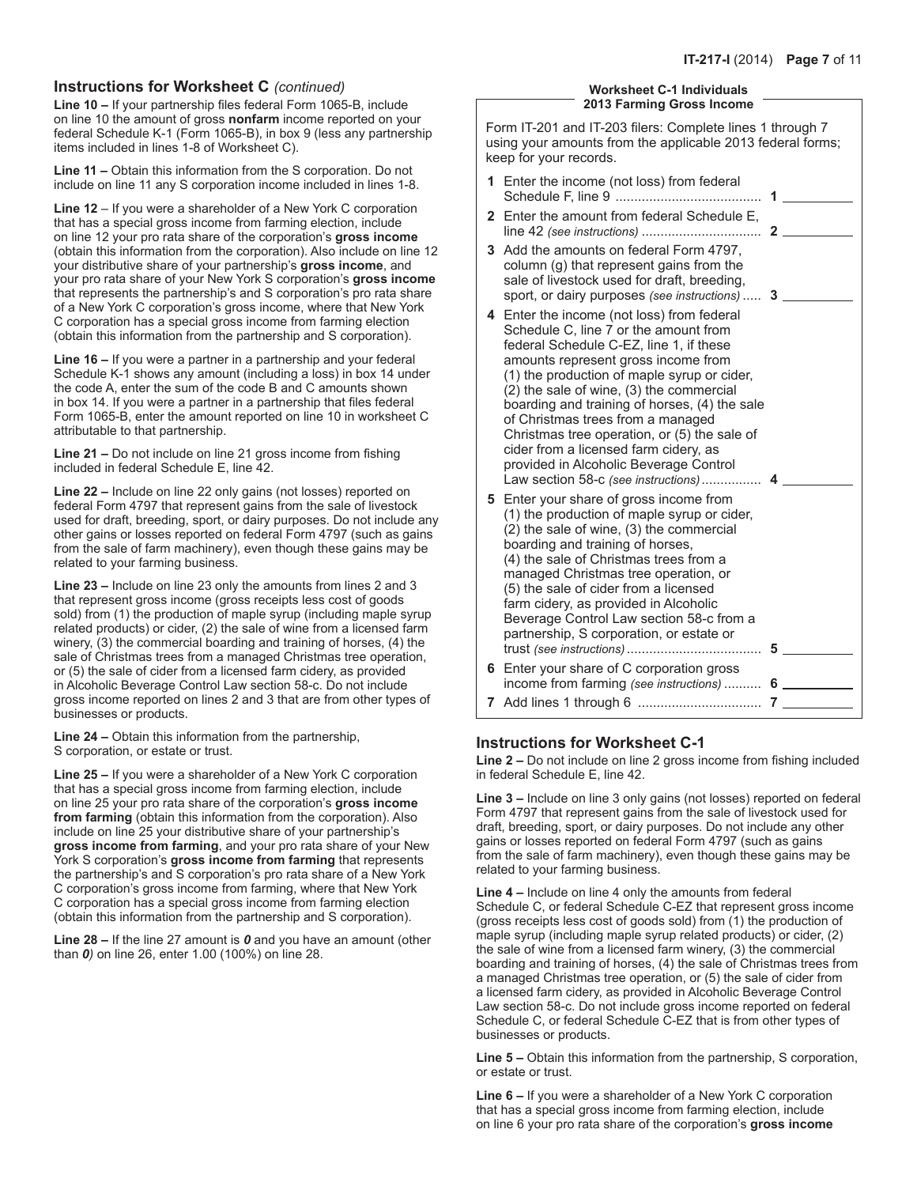## **Instructions for Worksheet C** *(continued)*

**Line 10 –** If your partnership files federal Form 1065-B, include on line 10 the amount of gross **nonfarm** income reported on your federal Schedule K-1 (Form 1065-B), in box 9 (less any partnership items included in lines 1-8 of Worksheet C).

**Line 11 –** Obtain this information from the S corporation. Do not include on line 11 any S corporation income included in lines 1-8.

**Line 12** – If you were a shareholder of a New York C corporation that has a special gross income from farming election, include on line 12 your pro rata share of the corporation's **gross income** (obtain this information from the corporation). Also include on line 12 your distributive share of your partnership's **gross income**, and your pro rata share of your New York S corporation's **gross income** that represents the partnership's and S corporation's pro rata share of a New York C corporation's gross income, where that New York C corporation has a special gross income from farming election (obtain this information from the partnership and S corporation).

**Line 16 –** If you were a partner in a partnership and your federal Schedule K-1 shows any amount (including a loss) in box 14 under the code A, enter the sum of the code B and C amounts shown in box 14. If you were a partner in a partnership that files federal Form 1065-B, enter the amount reported on line 10 in worksheet C attributable to that partnership.

**Line 21 –** Do not include on line 21 gross income from fishing included in federal Schedule E, line 42.

**Line 22 –** Include on line 22 only gains (not losses) reported on federal Form 4797 that represent gains from the sale of livestock used for draft, breeding, sport, or dairy purposes. Do not include any other gains or losses reported on federal Form 4797 (such as gains from the sale of farm machinery), even though these gains may be related to your farming business.

**Line 23 –** Include on line 23 only the amounts from lines 2 and 3 that represent gross income (gross receipts less cost of goods sold) from (1) the production of maple syrup (including maple syrup related products) or cider, (2) the sale of wine from a licensed farm winery, (3) the commercial boarding and training of horses, (4) the sale of Christmas trees from a managed Christmas tree operation, or (5) the sale of cider from a licensed farm cidery, as provided in Alcoholic Beverage Control Law section 58-c. Do not include gross income reported on lines 2 and 3 that are from other types of businesses or products.

**Line 24 –** Obtain this information from the partnership, S corporation, or estate or trust.

**Line 25 –** If you were a shareholder of a New York C corporation that has a special gross income from farming election, include on line 25 your pro rata share of the corporation's **gross income from farming** (obtain this information from the corporation). Also include on line 25 your distributive share of your partnership's **gross income from farming**, and your pro rata share of your New York S corporation's **gross income from farming** that represents the partnership's and S corporation's pro rata share of a New York C corporation's gross income from farming, where that New York C corporation has a special gross income from farming election (obtain this information from the partnership and S corporation).

**Line 28 –** If the line 27 amount is *0* and you have an amount (other than *0)* on line 26, enter 1.00 (100%) on line 28.

#### **Worksheet C-1 Individuals 2013 Farming Gross Income**

Form IT-201 and IT-203 filers: Complete lines 1 through 7 using your amounts from the applicable 2013 federal forms; keep for your records.

|   | 1 Enter the income (not loss) from federal                                                                                                                                                                                                                                                                                                                                                                                                                                           | 1 |
|---|--------------------------------------------------------------------------------------------------------------------------------------------------------------------------------------------------------------------------------------------------------------------------------------------------------------------------------------------------------------------------------------------------------------------------------------------------------------------------------------|---|
|   | 2 Enter the amount from federal Schedule E,                                                                                                                                                                                                                                                                                                                                                                                                                                          |   |
|   | 3 Add the amounts on federal Form 4797,<br>column (g) that represent gains from the<br>sale of livestock used for draft, breeding,<br>sport, or dairy purposes (see instructions)  3<br>4 Enter the income (not loss) from federal                                                                                                                                                                                                                                                   |   |
|   | Schedule C, line 7 or the amount from<br>federal Schedule C-EZ, line 1, if these<br>amounts represent gross income from<br>(1) the production of maple syrup or cider,<br>(2) the sale of wine, (3) the commercial<br>boarding and training of horses, (4) the sale<br>of Christmas trees from a managed<br>Christmas tree operation, or (5) the sale of<br>cider from a licensed farm cidery, as<br>provided in Alcoholic Beverage Control<br>Law section 58-c (see instructions) 4 |   |
|   | 5 Enter your share of gross income from<br>(1) the production of maple syrup or cider,<br>(2) the sale of wine, (3) the commercial<br>boarding and training of horses,<br>(4) the sale of Christmas trees from a<br>managed Christmas tree operation, or<br>(5) the sale of cider from a licensed<br>farm cidery, as provided in Alcoholic<br>Beverage Control Law section 58-c from a<br>partnership, S corporation, or estate or                                                   |   |
|   | 6 Enter your share of C corporation gross<br>income from farming (see instructions)  6                                                                                                                                                                                                                                                                                                                                                                                               |   |
| 7 |                                                                                                                                                                                                                                                                                                                                                                                                                                                                                      |   |

## **Instructions for Worksheet C-1**

**Line 2 –** Do not include on line 2 gross income from fishing included in federal Schedule E, line 42.

**Line 3 –** Include on line 3 only gains (not losses) reported on federal Form 4797 that represent gains from the sale of livestock used for draft, breeding, sport, or dairy purposes. Do not include any other gains or losses reported on federal Form 4797 (such as gains from the sale of farm machinery), even though these gains may be related to your farming business.

**Line 4 –** Include on line 4 only the amounts from federal Schedule C, or federal Schedule C-EZ that represent gross income (gross receipts less cost of goods sold) from (1) the production of maple syrup (including maple syrup related products) or cider, (2) the sale of wine from a licensed farm winery, (3) the commercial boarding and training of horses, (4) the sale of Christmas trees from a managed Christmas tree operation, or (5) the sale of cider from a licensed farm cidery, as provided in Alcoholic Beverage Control Law section 58-c. Do not include gross income reported on federal Schedule C, or federal Schedule C-EZ that is from other types of businesses or products.

**Line 5 –** Obtain this information from the partnership, S corporation, or estate or trust.

**Line 6 –** If you were a shareholder of a New York C corporation that has a special gross income from farming election, include on line 6 your pro rata share of the corporation's **gross income**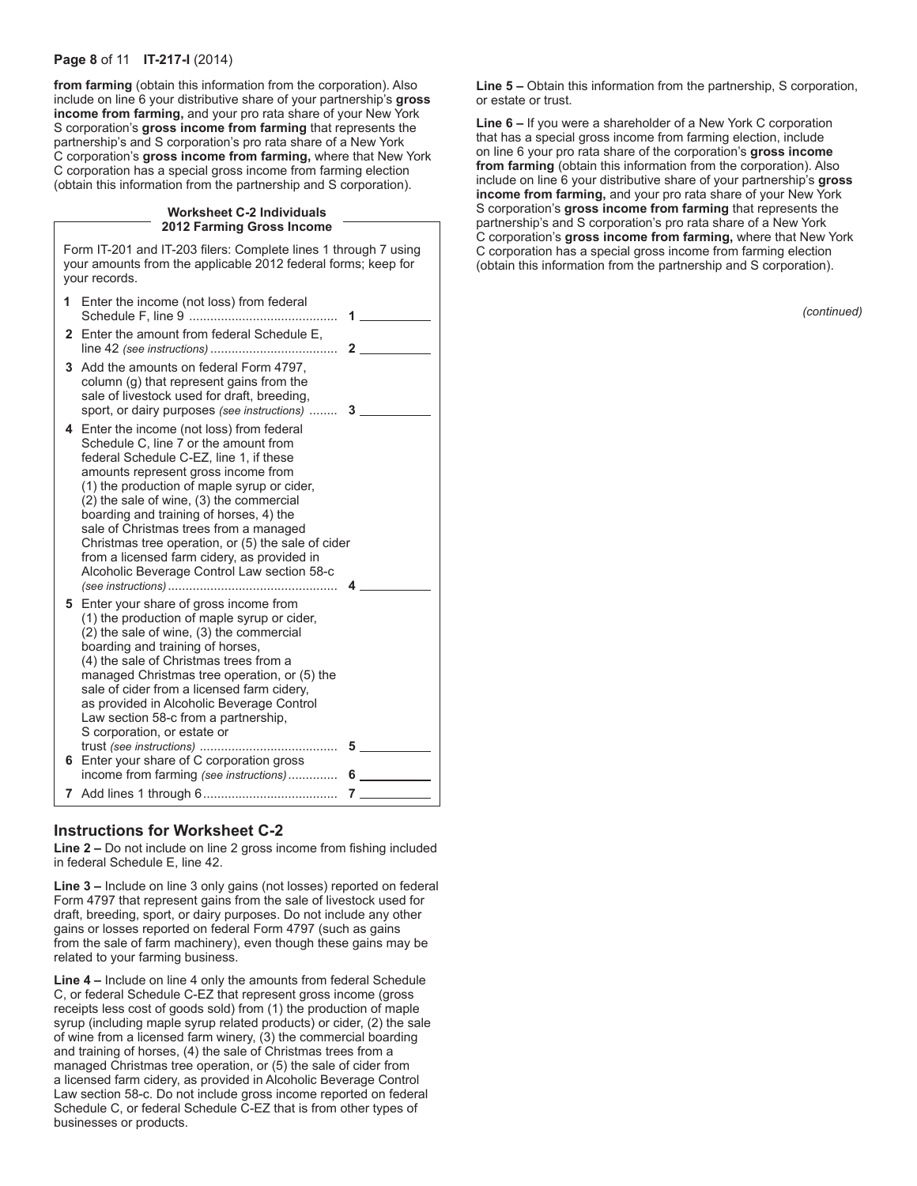#### **Page 8** of 11 **IT-217-I** (2014)

**from farming** (obtain this information from the corporation). Also include on line 6 your distributive share of your partnership's **gross income from farming,** and your pro rata share of your New York S corporation's **gross income from farming** that represents the partnership's and S corporation's pro rata share of a New York C corporation's **gross income from farming,** where that New York C corporation has a special gross income from farming election (obtain this information from the partnership and S corporation).

#### **Worksheet C-2 Individuals 2012 Farming Gross Income**

Form IT-201 and IT-203 filers: Complete lines 1 through 7 using your amounts from the applicable 2012 federal forms; keep for your records.

| 1 | Enter the income (not loss) from federal                                                                                                                                                                                                                                                                                                                                                                                                                                                                  | 1              |   |
|---|-----------------------------------------------------------------------------------------------------------------------------------------------------------------------------------------------------------------------------------------------------------------------------------------------------------------------------------------------------------------------------------------------------------------------------------------------------------------------------------------------------------|----------------|---|
| 2 | Enter the amount from federal Schedule E,                                                                                                                                                                                                                                                                                                                                                                                                                                                                 | $\mathbf{2}$   |   |
|   | 3 Add the amounts on federal Form 4797.<br>column (g) that represent gains from the<br>sale of livestock used for draft, breeding,<br>sport, or dairy purposes (see instructions)  3                                                                                                                                                                                                                                                                                                                      |                |   |
|   | 4 Enter the income (not loss) from federal<br>Schedule C, line 7 or the amount from<br>federal Schedule C-EZ, line 1, if these<br>amounts represent gross income from<br>(1) the production of maple syrup or cider,<br>(2) the sale of wine, (3) the commercial<br>boarding and training of horses, 4) the<br>sale of Christmas trees from a managed<br>Christmas tree operation, or (5) the sale of cider<br>from a licensed farm cidery, as provided in<br>Alcoholic Beverage Control Law section 58-c |                |   |
|   | <b>5</b> Enter your share of gross income from<br>(1) the production of maple syrup or cider,<br>(2) the sale of wine, (3) the commercial<br>boarding and training of horses,<br>(4) the sale of Christmas trees from a<br>managed Christmas tree operation, or (5) the<br>sale of cider from a licensed farm cidery,<br>as provided in Alcoholic Beverage Control<br>Law section 58-c from a partnership,<br>S corporation, or estate or                                                                 |                | 5 |
|   | 6 Enter your share of C corporation gross<br>income from farming (see instructions)                                                                                                                                                                                                                                                                                                                                                                                                                       | 6.             |   |
|   |                                                                                                                                                                                                                                                                                                                                                                                                                                                                                                           | $\overline{7}$ |   |

## **Instructions for Worksheet C-2**

**Line 2 –** Do not include on line 2 gross income from fishing included in federal Schedule E, line 42.

**Line 3 –** Include on line 3 only gains (not losses) reported on federal Form 4797 that represent gains from the sale of livestock used for draft, breeding, sport, or dairy purposes. Do not include any other gains or losses reported on federal Form 4797 (such as gains from the sale of farm machinery), even though these gains may be related to your farming business.

**Line 4 –** Include on line 4 only the amounts from federal Schedule C, or federal Schedule C-EZ that represent gross income (gross receipts less cost of goods sold) from (1) the production of maple syrup (including maple syrup related products) or cider, (2) the sale of wine from a licensed farm winery, (3) the commercial boarding and training of horses, (4) the sale of Christmas trees from a managed Christmas tree operation, or (5) the sale of cider from a licensed farm cidery, as provided in Alcoholic Beverage Control Law section 58-c. Do not include gross income reported on federal Schedule C, or federal Schedule C-EZ that is from other types of businesses or products.

**Line 5 –** Obtain this information from the partnership, S corporation, or estate or trust.

**Line 6 –** If you were a shareholder of a New York C corporation that has a special gross income from farming election, include on line 6 your pro rata share of the corporation's **gross income from farming** (obtain this information from the corporation). Also include on line 6 your distributive share of your partnership's **gross income from farming,** and your pro rata share of your New York S corporation's **gross income from farming** that represents the partnership's and S corporation's pro rata share of a New York C corporation's **gross income from farming,** where that New York C corporation has a special gross income from farming election (obtain this information from the partnership and S corporation).

*(continued)*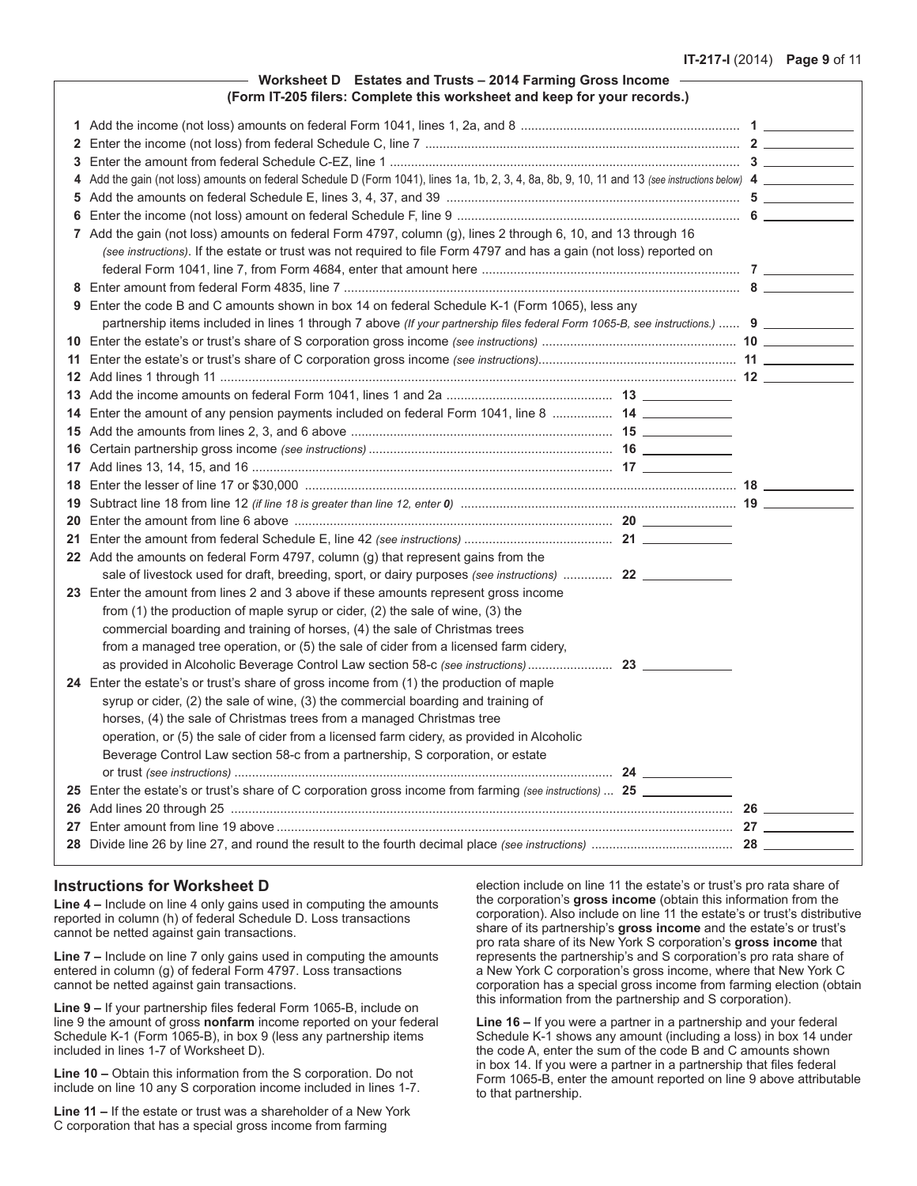#### **Worksheet D Estates and Trusts – 2014 Farming Gross Income (Form IT-205 filers: Complete this worksheet and keep for your records.)**

| 3  |                                                                                                                                                 |  |
|----|-------------------------------------------------------------------------------------------------------------------------------------------------|--|
|    | 4 Add the gain (not loss) amounts on federal Schedule D (Form 1041), lines 1a, 1b, 2, 3, 4, 8a, 8b, 9, 10, 11 and 13 (see instructions below) 4 |  |
|    |                                                                                                                                                 |  |
|    |                                                                                                                                                 |  |
|    | 7 Add the gain (not loss) amounts on federal Form 4797, column (g), lines 2 through 6, 10, and 13 through 16                                    |  |
|    | (see instructions). If the estate or trust was not required to file Form 4797 and has a gain (not loss) reported on                             |  |
|    |                                                                                                                                                 |  |
|    |                                                                                                                                                 |  |
|    | 9 Enter the code B and C amounts shown in box 14 on federal Schedule K-1 (Form 1065), less any                                                  |  |
|    | partnership items included in lines 1 through 7 above (If your partnership files federal Form 1065-B, see instructions.)  9                     |  |
|    |                                                                                                                                                 |  |
|    |                                                                                                                                                 |  |
|    |                                                                                                                                                 |  |
|    |                                                                                                                                                 |  |
|    | 14 Enter the amount of any pension payments included on federal Form 1041, line 8  14 _____________                                             |  |
|    |                                                                                                                                                 |  |
|    |                                                                                                                                                 |  |
|    |                                                                                                                                                 |  |
|    |                                                                                                                                                 |  |
|    |                                                                                                                                                 |  |
|    |                                                                                                                                                 |  |
|    |                                                                                                                                                 |  |
|    | 22 Add the amounts on federal Form 4797, column (g) that represent gains from the                                                               |  |
|    |                                                                                                                                                 |  |
|    | 23 Enter the amount from lines 2 and 3 above if these amounts represent gross income                                                            |  |
|    | from (1) the production of maple syrup or cider, (2) the sale of wine, (3) the                                                                  |  |
|    | commercial boarding and training of horses, (4) the sale of Christmas trees                                                                     |  |
|    | from a managed tree operation, or (5) the sale of cider from a licensed farm cidery,                                                            |  |
|    |                                                                                                                                                 |  |
|    | 24 Enter the estate's or trust's share of gross income from (1) the production of maple                                                         |  |
|    | syrup or cider, (2) the sale of wine, (3) the commercial boarding and training of                                                               |  |
|    | horses, (4) the sale of Christmas trees from a managed Christmas tree                                                                           |  |
|    | operation, or (5) the sale of cider from a licensed farm cidery, as provided in Alcoholic                                                       |  |
|    | Beverage Control Law section 58-c from a partnership, S corporation, or estate                                                                  |  |
|    |                                                                                                                                                 |  |
|    | 25 Enter the estate's or trust's share of C corporation gross income from farming (see instructions)  25                                        |  |
|    |                                                                                                                                                 |  |
| 27 |                                                                                                                                                 |  |
|    |                                                                                                                                                 |  |

## **Instructions for Worksheet D**

**Line 4 –** Include on line 4 only gains used in computing the amounts reported in column (h) of federal Schedule D. Loss transactions cannot be netted against gain transactions.

**Line 7 –** Include on line 7 only gains used in computing the amounts entered in column (g) of federal Form 4797. Loss transactions cannot be netted against gain transactions.

**Line 9 –** If your partnership files federal Form 1065-B, include on line 9 the amount of gross **nonfarm** income reported on your federal Schedule K-1 (Form 1065-B), in box 9 (less any partnership items included in lines 1-7 of Worksheet D).

**Line 10 –** Obtain this information from the S corporation. Do not include on line 10 any S corporation income included in lines 1-7.

**Line 11 –** If the estate or trust was a shareholder of a New York C corporation that has a special gross income from farming

election include on line 11 the estate's or trust's pro rata share of the corporation's **gross income** (obtain this information from the corporation). Also include on line 11 the estate's or trust's distributive share of its partnership's **gross income** and the estate's or trust's pro rata share of its New York S corporation's **gross income** that represents the partnership's and S corporation's pro rata share of a New York C corporation's gross income, where that New York C corporation has a special gross income from farming election (obtain this information from the partnership and S corporation).

**Line 16 –** If you were a partner in a partnership and your federal Schedule K-1 shows any amount (including a loss) in box 14 under the code A, enter the sum of the code B and C amounts shown in box 14. If you were a partner in a partnership that files federal Form 1065-B, enter the amount reported on line 9 above attributable to that partnership.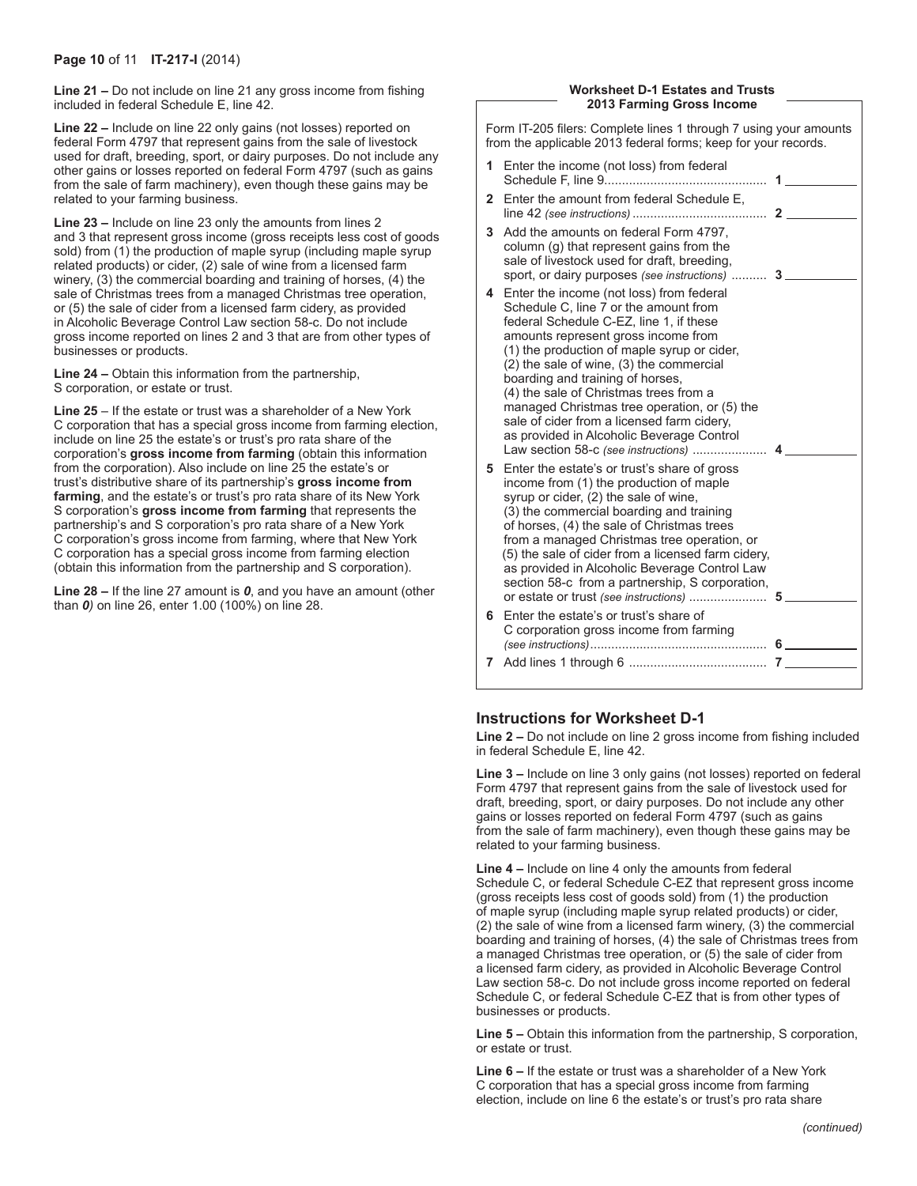**Line 21 –** Do not include on line 21 any gross income from fishing included in federal Schedule E, line 42.

**Line 22 –** Include on line 22 only gains (not losses) reported on federal Form 4797 that represent gains from the sale of livestock used for draft, breeding, sport, or dairy purposes. Do not include any other gains or losses reported on federal Form 4797 (such as gains from the sale of farm machinery), even though these gains may be related to your farming business.

**Line 23 –** Include on line 23 only the amounts from lines 2 and 3 that represent gross income (gross receipts less cost of goods sold) from (1) the production of maple syrup (including maple syrup related products) or cider, (2) sale of wine from a licensed farm winery, (3) the commercial boarding and training of horses, (4) the sale of Christmas trees from a managed Christmas tree operation, or (5) the sale of cider from a licensed farm cidery, as provided in Alcoholic Beverage Control Law section 58-c. Do not include gross income reported on lines 2 and 3 that are from other types of businesses or products.

**Line 24 –** Obtain this information from the partnership, S corporation, or estate or trust.

**Line 25** – If the estate or trust was a shareholder of a New York C corporation that has a special gross income from farming election, include on line 25 the estate's or trust's pro rata share of the corporation's **gross income from farming** (obtain this information from the corporation). Also include on line 25 the estate's or trust's distributive share of its partnership's **gross income from farming**, and the estate's or trust's pro rata share of its New York S corporation's **gross income from farming** that represents the partnership's and S corporation's pro rata share of a New York C corporation's gross income from farming, where that New York C corporation has a special gross income from farming election (obtain this information from the partnership and S corporation).

**Line 28 –** If the line 27 amount is *0*, and you have an amount (other than *0)* on line 26, enter 1.00 (100%) on line 28.

#### **Worksheet D-1 Estates and Trusts 2013 Farming Gross Income**

Form IT-205 filers: Complete lines 1 through 7 using your amounts from the applicable 2013 federal forms; keep for your records.

- **1** Enter the income (not loss) from federal Schedule F, line 9.............................................. **1**
- **2** Enter the amount from federal Schedule E, line 42 *(see instructions)* ...................................... **2**
- **3** Add the amounts on federal Form 4797, column (g) that represent gains from the sale of livestock used for draft, breeding, sport, or dairy purposes *(see instructions)* .......... **3**
- **4** Enter the income (not loss) from federal Schedule C, line 7 or the amount from federal Schedule C-EZ, line 1, if these amounts represent gross income from (1) the production of maple syrup or cider, (2) the sale of wine, (3) the commercial boarding and training of horses, (4) the sale of Christmas trees from a managed Christmas tree operation, or (5) the sale of cider from a licensed farm cidery, as provided in Alcoholic Beverage Control Law section 58-c *(see instructions)* ..................... **4 5** Enter the estate's or trust's share of gross income from (1) the production of maple syrup or cider, (2) the sale of wine, (3) the commercial boarding and training of horses, (4) the sale of Christmas trees from a managed Christmas tree operation, or (5) the sale of cider from a licensed farm cidery, as provided in Alcoholic Beverage Control Law section 58-c from a partnership, S corporation, or estate or trust *(see instructions)* ...................... **5 6** Enter the estate's or trust's share of
- C corporation gross income from farming *(see instructions)*.................................................. **6 7** Add lines 1 through 6 ....................................... **7**

## **Instructions for Worksheet D-1**

**Line 2 –** Do not include on line 2 gross income from fishing included in federal Schedule E, line 42.

**Line 3 –** Include on line 3 only gains (not losses) reported on federal Form 4797 that represent gains from the sale of livestock used for draft, breeding, sport, or dairy purposes. Do not include any other gains or losses reported on federal Form 4797 (such as gains from the sale of farm machinery), even though these gains may be related to your farming business.

**Line 4 –** Include on line 4 only the amounts from federal Schedule C, or federal Schedule C-EZ that represent gross income (gross receipts less cost of goods sold) from (1) the production of maple syrup (including maple syrup related products) or cider, (2) the sale of wine from a licensed farm winery, (3) the commercial boarding and training of horses, (4) the sale of Christmas trees from a managed Christmas tree operation, or (5) the sale of cider from a licensed farm cidery, as provided in Alcoholic Beverage Control Law section 58-c. Do not include gross income reported on federal Schedule C, or federal Schedule C-EZ that is from other types of businesses or products.

**Line 5 –** Obtain this information from the partnership, S corporation, or estate or trust.

**Line 6 –** If the estate or trust was a shareholder of a New York C corporation that has a special gross income from farming election, include on line 6 the estate's or trust's pro rata share